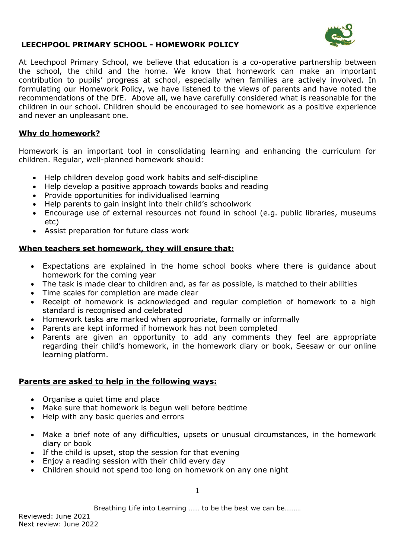

At Leechpool Primary School, we believe that education is a co-operative partnership between the school, the child and the home. We know that homework can make an important contribution to pupils' progress at school, especially when families are actively involved. In formulating our Homework Policy, we have listened to the views of parents and have noted the recommendations of the DfE. Above all, we have carefully considered what is reasonable for the children in our school. Children should be encouraged to see homework as a positive experience and never an unpleasant one.

# **Why do homework?**

Homework is an important tool in consolidating learning and enhancing the curriculum for children. Regular, well-planned homework should:

- Help children develop good work habits and self-discipline
- Help develop a positive approach towards books and reading
- Provide opportunities for individualised learning
- Help parents to gain insight into their child's schoolwork
- Encourage use of external resources not found in school (e.g. public libraries, museums etc)
- Assist preparation for future class work

## **When teachers set homework, they will ensure that:**

- Expectations are explained in the home school books where there is guidance about homework for the coming year
- The task is made clear to children and, as far as possible, is matched to their abilities
- Time scales for completion are made clear
- Receipt of homework is acknowledged and regular completion of homework to a high standard is recognised and celebrated
- Homework tasks are marked when appropriate, formally or informally
- Parents are kept informed if homework has not been completed
- Parents are given an opportunity to add any comments they feel are appropriate regarding their child's homework, in the homework diary or book, Seesaw or our online learning platform.

### **Parents are asked to help in the following ways:**

- Organise a quiet time and place
- Make sure that homework is begun well before bedtime
- Help with any basic queries and errors
- Make a brief note of any difficulties, upsets or unusual circumstances, in the homework diary or book
- If the child is upset, stop the session for that evening
- Enjoy a reading session with their child every day
- Children should not spend too long on homework on any one night

Breathing Life into Learning …… to be the best we can be………

Reviewed: June 2021 Next review: June 2022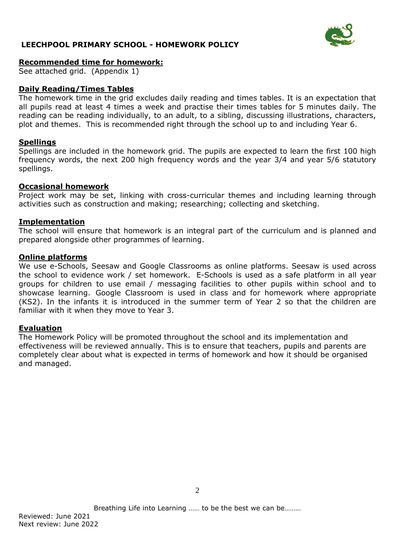

### **Recommended time for homework:**

See attached grid. (Appendix 1)

# **Daily Reading/Times Tables**

The homework time in the grid excludes daily reading and times tables. It is an expectation that all pupils read at least 4 times a week and practise their times tables for 5 minutes daily. The reading can be reading individually, to an adult, to a sibling, discussing illustrations, characters, plot and themes. This is recommended right through the school up to and including Year 6.

### **Spellings**

Spellings are included in the homework grid. The pupils are expected to learn the first 100 high frequency words, the next 200 high frequency words and the year 3/4 and year 5/6 statutory spellings.

#### **Occasional homework**

Project work may be set, linking with cross-curricular themes and including learning through activities such as construction and making; researching; collecting and sketching.

#### **Implementation**

The school will ensure that homework is an integral part of the curriculum and is planned and prepared alongside other programmes of learning.

### **Online platforms**

We use e-Schools, Seesaw and Google Classrooms as online platforms. Seesaw is used across the school to evidence work / set homework. E-Schools is used as a safe platform in all year groups for children to use email / messaging facilities to other pupils within school and to showcase learning. Google Classroom is used in class and for homework where appropriate (KS2). In the infants it is introduced in the summer term of Year 2 so that the children are familiar with it when they move to Year 3.

### **Evaluation**

The Homework Policy will be promoted throughout the school and its implementation and effectiveness will be reviewed annually. This is to ensure that teachers, pupils and parents are completely clear about what is expected in terms of homework and how it should be organised and managed.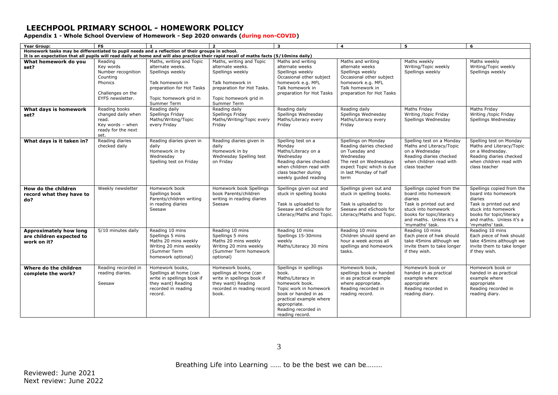**Appendix 1 - Whole School Overview of Homework - Sep 2020 onwards (during non-COVID)** 

| <b>Year Group:</b>                                                                                                                                                                                                                        | <b>FS</b>                                                                                                  | $\mathbf{1}$                                                                                                                                               | $\overline{2}$                                                                                                                                              | $\overline{\mathbf{3}}$                                                                                                                                                                                       | $\overline{a}$                                                                                                                                                         | -5                                                                                                                                                                                       | 6                                                                                                                                                                                        |  |  |  |  |
|-------------------------------------------------------------------------------------------------------------------------------------------------------------------------------------------------------------------------------------------|------------------------------------------------------------------------------------------------------------|------------------------------------------------------------------------------------------------------------------------------------------------------------|-------------------------------------------------------------------------------------------------------------------------------------------------------------|---------------------------------------------------------------------------------------------------------------------------------------------------------------------------------------------------------------|------------------------------------------------------------------------------------------------------------------------------------------------------------------------|------------------------------------------------------------------------------------------------------------------------------------------------------------------------------------------|------------------------------------------------------------------------------------------------------------------------------------------------------------------------------------------|--|--|--|--|
| Homework tasks may be differentiated to pupil needs and a reflection of their groups in school.<br>It is an expectation that all pupils will read daily at home and will also practice their rapid recall of maths facts (5/10mins daily) |                                                                                                            |                                                                                                                                                            |                                                                                                                                                             |                                                                                                                                                                                                               |                                                                                                                                                                        |                                                                                                                                                                                          |                                                                                                                                                                                          |  |  |  |  |
| What homework do you<br>set?                                                                                                                                                                                                              | Reading<br>Key words<br>Number recognition<br>Counting<br>Phonics<br>Challenges on the<br>EYFS newsletter. | Maths, writing and Topic<br>alternate weeks.<br>Spellings weekly<br>Talk homework in<br>preparation for Hot Tasks<br>Topic homework grid in<br>Summer Term | Maths, writing and Topic<br>alternate weeks.<br>Spellings weekly<br>Talk homework in<br>preparation for Hot Tasks.<br>Topic homework grid in<br>Summer Term | Maths and writing<br>alternate weeks<br>Spellings weekly<br>Occasional other subject<br>homework e.g. MFL<br>Talk homework in<br>preparation for Hot Tasks                                                    | Maths and writing<br>alternate weeks<br>Spellings weekly<br>Occasional other subject<br>homework e.g. MFL<br>Talk homework in<br>preparation for Hot Tasks             | Maths weekly<br>Writing/Topic weekly<br>Spellings weekly                                                                                                                                 | Maths weekly<br>Writing/Topic weekly<br>Spellings weekly                                                                                                                                 |  |  |  |  |
| What days is homework<br>set?                                                                                                                                                                                                             | Reading books<br>changed daily when<br>read.<br>Key words - when<br>ready for the next<br>set.             | Reading daily<br>Spellings Friday<br>Maths/Writing/Topic<br>every Friday                                                                                   | Reading daily<br>Spellings Friday<br>Maths/Writing/Topic every<br>Friday                                                                                    | Reading daily<br>Spellings Wednesday<br>Maths/Literacy every<br>Fridav                                                                                                                                        | Reading daily<br>Spellings Wednesday<br>Maths/Literacy every<br>Friday                                                                                                 | Maths Friday<br>Writing /topic Friday<br>Spellings Wednesday                                                                                                                             | Maths Friday<br>Writing /topic Friday<br>Spellings Wednesday                                                                                                                             |  |  |  |  |
| What days is it taken in?                                                                                                                                                                                                                 | Reading diaries<br>checked daily                                                                           | Reading diaries given in<br>daily<br>Homework in by<br>Wednesday<br>Spelling test on Friday                                                                | Reading diaries given in<br>daily<br>Homework in by<br>Wednesday Spelling test<br>on Fridav                                                                 | Spelling test on a<br>Monday<br>Maths/Literacy on a<br>Wednesday<br>Reading diaries checked<br>when children read with<br>class teacher during<br>weekly guided reading                                       | Spellings on Monday<br>Reading dairies checked<br>on Tuesday and<br>Wednesday<br>The rest on Wednesdays<br>expect Topic which is due<br>in last Monday of half<br>term | Spelling test on a Monday<br>Maths and Literacy/Topic<br>on a Wednesday<br>Reading diaries checked<br>when children read with<br>class teacher                                           | Spelling test on Monday<br>Maths and Literacy/Topic<br>on a Wednesday.<br>Reading diaries checked<br>when children read with<br>class teacher                                            |  |  |  |  |
| How do the children<br>record what they have to<br>do?                                                                                                                                                                                    | Weekly newsletter                                                                                          | Homework book<br>Spellings book<br>Parents/children writing<br>in reading diaries<br>Seesaw                                                                | Homework book Spellings<br>book Parents/children<br>writing in reading diaries<br>Seesaw                                                                    | Spellings given out and<br>stuck in spelling books<br>Task is uploaded to<br>Seesaw and eSchools for<br>Literacy/Maths and Topic.                                                                             | Spellings given out and<br>stuck in spelling books.<br>Task is uploaded to<br>Seesaw and eSchools for<br>Literacy/Maths and Topic.                                     | Spellings copied from the<br>board into homework<br>diaries<br>Task is printed out and<br>stuck into homework<br>books for topic/literacy<br>and maths. Unless it's a<br>'mymaths' task. | Spellings copied from the<br>board into homework<br>diaries<br>Task is printed out and<br>stuck into homework<br>books for topic/literacy<br>and maths. Unless it's a<br>'mymaths' task. |  |  |  |  |
| <b>Approximately how long</b><br>are children expected to<br>work on it?                                                                                                                                                                  | 5/10 minutes daily                                                                                         | Reading 10 mins<br>Spellings 5 mins<br>Maths 20 mins weekly<br>Writing 20 mins weekly<br>(Summer Term<br>homework optional)                                | Reading 10 mins<br>Spellings 5 mins<br>Maths 20 mins weekly<br>Writing 20 mins weekly<br>(Summer Term homework<br>optional)                                 | Reading 10 mins<br>Spellings 15-30mins<br>weekly<br>Maths/Literacy 30 mins                                                                                                                                    | Reading 10 mins<br>Children should spend an<br>hour a week across all<br>spellings and homework<br>tasks.                                                              | Reading 10 mins<br>Each piece of hwk should<br>take 45mins although we<br>invite them to take longer<br>if they wish.                                                                    | Reading 10 mins<br>Each piece of hwk should<br>take 45mins although we<br>invite them to take longer<br>if they wish.                                                                    |  |  |  |  |
| Where do the children<br>complete the work?                                                                                                                                                                                               | Reading recorded in<br>reading diaries.<br>Seesaw                                                          | Homework books,<br>Spellings at home (can<br>write in spellings book if<br>they want) Reading<br>recorded in reading<br>record.                            | Homework books,<br>spellings at home (can<br>write in spellings book if<br>they want) Reading<br>recorded in reading record<br>book.                        | Spellings in spellings<br>book.<br>Maths/Literacy in<br>homework book.<br>Topic work in homework<br>book or handed in as<br>practical example where<br>appropriate.<br>Reading recorded in<br>reading record. | Homework book,<br>spellings book or handed<br>in as practical example<br>where appropriate.<br>Reading recorded in<br>reading record.                                  | Homework book or<br>handed in as practical<br>example where<br>appropriate<br>Reading recorded in<br>reading diary.                                                                      | Homework book or<br>handed in as practical<br>example where<br>appropriate<br>Reading recorded in<br>reading diary.                                                                      |  |  |  |  |